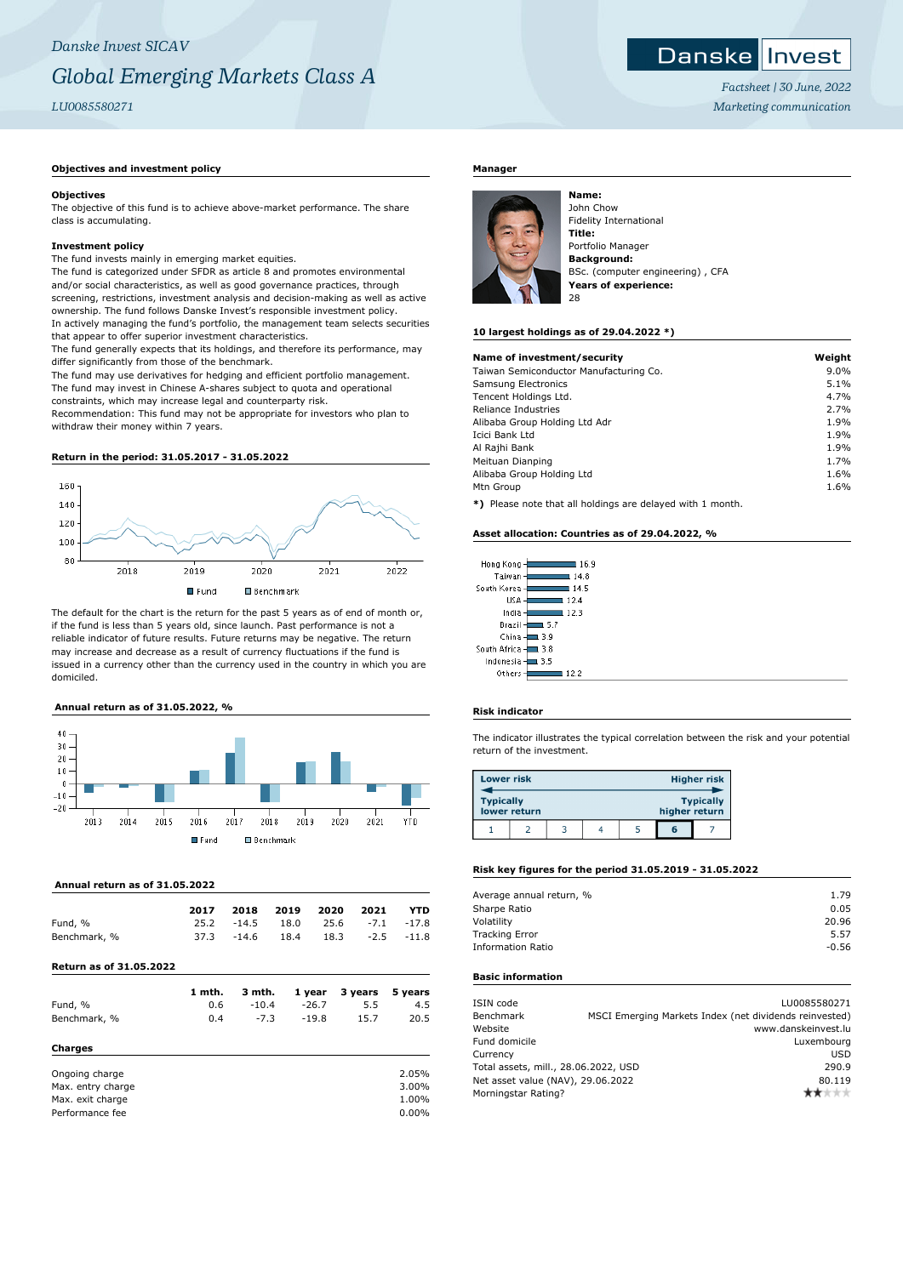#### Danske **I** Invest

*Factsheet | 30 June, 2022 Marketing communication*

# **Objectives and investment policy**

#### **Objectives**

The objective of this fund is to achieve above-market performance. The share class is accumulating.

## **Investment policy**

The fund invests mainly in emerging market equities.

The fund is categorized under SFDR as article 8 and promotes environmental and/or social characteristics, as well as good governance practices, through screening, restrictions, investment analysis and decision-making as well as active ownership. The fund follows Danske Invest's responsible investment policy. In actively managing the fund's portfolio, the management team selects securities that appear to offer superior investment characteristics.

The fund generally expects that its holdings, and therefore its performance, may differ significantly from those of the benchmark.

The fund may use derivatives for hedging and efficient portfolio management. The fund may invest in Chinese A-shares subject to quota and operational constraints, which may increase legal and counterparty risk.

Recommendation: This fund may not be appropriate for investors who plan to withdraw their money within 7 years.

#### **Return in the period: 31.05.2017 - 31.05.2022**



The default for the chart is the return for the past 5 years as of end of month or, if the fund is less than 5 years old, since launch. Past performance is not a reliable indicator of future results. Future returns may be negative. The return may increase and decrease as a result of currency fluctuations if the fund is issued in a currency other than the currency used in the country in which you are domiciled.

#### **Annual return as of 31.05.2022, %**



# **Annual return as of 31.05.2022**

|              | 2017 |              | 2018 2019 2020 2021             |                   | YTD |
|--------------|------|--------------|---------------------------------|-------------------|-----|
| Fund, %      |      |              | 25.2 -14.5 18.0 25.6 -7.1 -17.8 |                   |     |
| Benchmark, % |      | $37.3 -14.6$ | 18.4                            | $18.3 -2.5 -11.8$ |     |

# **Return as of 31.05.2022**

|                   | 1 mth. | 3 mth.  | 1 year  | 3 years | 5 years |
|-------------------|--------|---------|---------|---------|---------|
| Fund, %           | 0.6    | $-10.4$ | $-26.7$ | 5.5     | 4.5     |
| Benchmark, %      | 0.4    | $-7.3$  | $-19.8$ | 15.7    | 20.5    |
| Charges           |        |         |         |         |         |
| Ongoing charge    |        |         |         |         | 2.05%   |
| Max. entry charge |        |         |         |         | 3.00%   |
| Max. exit charge  |        |         |         |         | 1.00%   |
| Performance fee   |        |         |         |         | 0.00%   |

# **Manager**



**Name:** John Chow Fidelity International **Title:** Portfolio Manager **Background:** BSc. (computer engineering) , CFA **Years of experience:** 28

#### **10 largest holdings as of 29.04.2022 \*)**

| Name of investment/security            | Weight  |
|----------------------------------------|---------|
| Taiwan Semiconductor Manufacturing Co. | $9.0\%$ |
| Samsung Electronics                    | 5.1%    |
| Tencent Holdings Ltd.                  | 4.7%    |
| Reliance Industries                    | 2.7%    |
| Alibaba Group Holding Ltd Adr          | 1.9%    |
| Icici Bank Ltd                         | 1.9%    |
| Al Rajhi Bank                          | 1.9%    |
| Meituan Dianping                       | 1.7%    |
| Alibaba Group Holding Ltd              | 1.6%    |
| Mtn Group                              | 1.6%    |
|                                        |         |

**\*)** Please note that all holdings are delayed with 1 month.

#### **Asset allocation: Countries as of 29.04.2022, %**

| Hong Kong      | 16.9  |
|----------------|-------|
| Taiwan         | 114.8 |
| South Korea    | 14.5  |
| <b>USA</b>     | 12.4  |
| India          | 12.3  |
| Brazil         | 15.7  |
| China          | 3.9   |
| South Africa - | 3.8   |
| Indonesia      | 3.5   |
| $0$ tharr      |       |

## **Risk indicator**

The indicator illustrates the typical correlation between the risk and your potential return of the investment.

| <b>Lower risk</b> |              |  |               | <b>Higher risk</b> |
|-------------------|--------------|--|---------------|--------------------|
| <b>Typically</b>  | lower return |  | higher return | <b>Typically</b>   |
|                   |              |  | តេ            |                    |

## **Risk key figures for the period 31.05.2019 - 31.05.2022**

| Average annual return, % | 1.79    |
|--------------------------|---------|
| Sharpe Ratio             | 0.05    |
| Volatility               | 20.96   |
| <b>Tracking Error</b>    | 5.57    |
| <b>Information Ratio</b> | $-0.56$ |
|                          |         |

# **Basic information**

| ISIN code                            |                                                        | LU0085580271        |
|--------------------------------------|--------------------------------------------------------|---------------------|
| Benchmark                            | MSCI Emerging Markets Index (net dividends reinvested) |                     |
| Website                              |                                                        | www.danskeinvest.lu |
| Fund domicile                        |                                                        | Luxembourg          |
| Currency                             |                                                        | <b>USD</b>          |
| Total assets, mill., 28.06.2022, USD |                                                        | 290.9               |
| Net asset value (NAV), 29.06.2022    |                                                        | 80.119              |
| Morningstar Rating?                  |                                                        |                     |